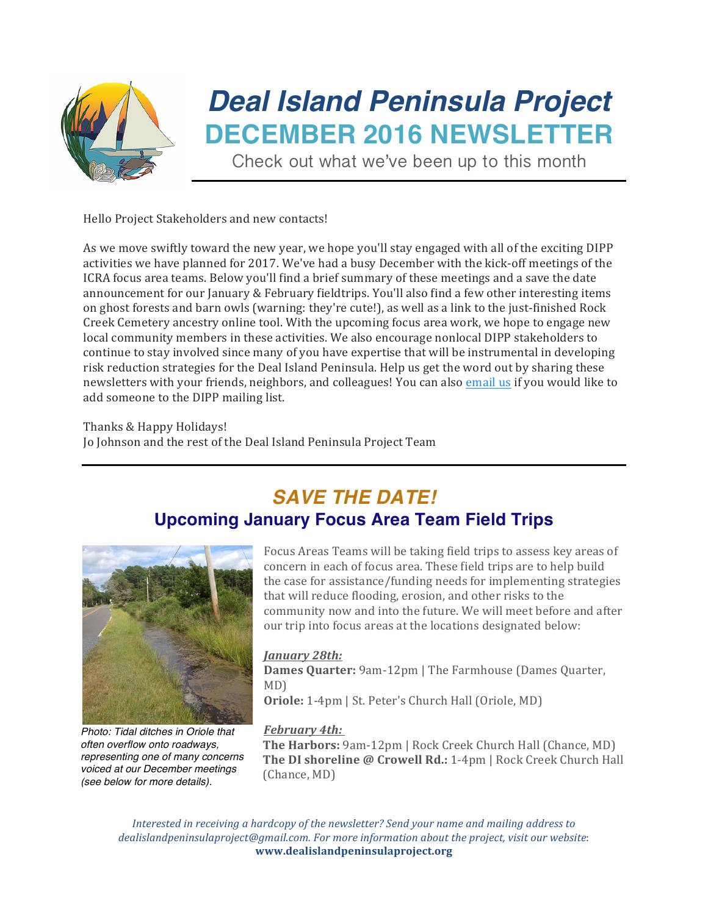

# *Deal Island Peninsula Project* **DECEMBER 2016 NEWSLETTER**

Check out what we've been up to this month

Hello Project Stakeholders and new contacts!

As we move swiftly toward the new year, we hope you'll stay engaged with all of the exciting DIPP activities we have planned for 2017. We've had a busy December with the kick-off meetings of the ICRA focus area teams. Below you'll find a brief summary of these meetings and a save the date announcement for our January & February fieldtrips. You'll also find a few other interesting items on ghost forests and barn owls (warning: they're cute!), as well as a link to the just-finished Rock Creek Cemetery ancestry online tool. With the upcoming focus area work, we hope to engage new local community members in these activities. We also encourage nonlocal DIPP stakeholders to continue to stay involved since many of you have expertise that will be instrumental in developing risk reduction strategies for the Deal Island Peninsula. Help us get the word out by sharing these newsletters with your friends, neighbors, and colleagues! You can also email us if you would like to add someone to the DIPP mailing list.

Thanks & Happy Holidays! Jo Johnson and the rest of the Deal Island Peninsula Project Team

### *SAVE THE DATE!* **Upcoming January Focus Area Team Field Trips**



*Photo: Tidal ditches in Oriole that often overflow onto roadways, representing one of many concerns voiced at our December meetings (see below for more details).*

Focus Areas Teams will be taking field trips to assess key areas of concern in each of focus area. These field trips are to help build the case for assistance/funding needs for implementing strategies that will reduce flooding, erosion, and other risks to the community now and into the future. We will meet before and after our trip into focus areas at the locations designated below:

#### *January 28th:*

**Dames Quarter:** 9am-12pm | The Farmhouse (Dames Quarter, MD) **Oriole:** 1-4pm | St. Peter's Church Hall (Oriole, MD)

#### *February 4th:*

**The Harbors:** 9am-12pm | Rock Creek Church Hall (Chance, MD) **The DI shoreline @ Crowell Rd.:** 1-4pm | Rock Creek Church Hall (Chance, MD)

*Interested in receiving a hardcopy of the newsletter?* Send your name and mailing address to dealislandpeninsulaproject@gmail.com. For more information about the project, visit our website: **www.dealislandpeninsulaproject.org**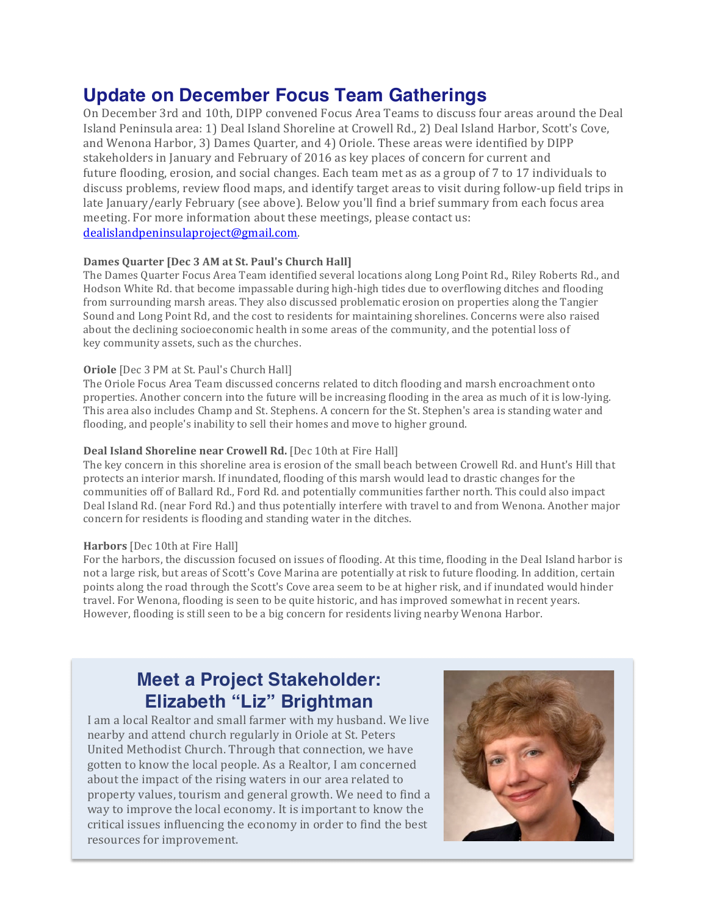### **Update on December Focus Team Gatherings**

On December 3rd and 10th, DIPP convened Focus Area Teams to discuss four areas around the Deal Island Peninsula area: 1) Deal Island Shoreline at Crowell Rd., 2) Deal Island Harbor, Scott's Cove, and Wenona Harbor, 3) Dames Ouarter, and 4) Oriole. These areas were identified by DIPP stakeholders in January and February of 2016 as key places of concern for current and future flooding, erosion, and social changes. Each team met as as a group of 7 to 17 individuals to discuss problems, review flood maps, and identify target areas to visit during follow-up field trips in late January/early February (see above). Below you'll find a brief summary from each focus area meeting. For more information about these meetings, please contact us: dealislandpeninsulaproject@gmail.com. 

#### **Dames Quarter [Dec 3 AM at St. Paul's Church Hall]**

The Dames Quarter Focus Area Team identified several locations along Long Point Rd., Riley Roberts Rd., and Hodson White Rd. that become impassable during high-high tides due to overflowing ditches and flooding from surrounding marsh areas. They also discussed problematic erosion on properties along the Tangier Sound and Long Point Rd, and the cost to residents for maintaining shorelines. Concerns were also raised about the declining socioeconomic health in some areas of the community, and the potential loss of key community assets, such as the churches.

#### **Oriole** [Dec 3 PM at St. Paul's Church Hall]

The Oriole Focus Area Team discussed concerns related to ditch flooding and marsh encroachment onto properties. Another concern into the future will be increasing flooding in the area as much of it is low-lying. This area also includes Champ and St. Stephens. A concern for the St. Stephen's area is standing water and flooding, and people's inability to sell their homes and move to higher ground.

#### **Deal Island Shoreline near Crowell Rd.** [Dec 10th at Fire Hall]

The key concern in this shoreline area is erosion of the small beach between Crowell Rd. and Hunt's Hill that protects an interior marsh. If inundated, flooding of this marsh would lead to drastic changes for the communities off of Ballard Rd., Ford Rd. and potentially communities farther north. This could also impact Deal Island Rd. (near Ford Rd.) and thus potentially interfere with travel to and from Wenona. Another major concern for residents is flooding and standing water in the ditches.

#### **Harbors** [Dec 10th at Fire Hall]

For the harbors, the discussion focused on issues of flooding. At this time, flooding in the Deal Island harbor is not a large risk, but areas of Scott's Cove Marina are potentially at risk to future flooding. In addition, certain points along the road through the Scott's Cove area seem to be at higher risk, and if inundated would hinder travel. For Wenona, flooding is seen to be quite historic, and has improved somewhat in recent years. However, flooding is still seen to be a big concern for residents living nearby Wenona Harbor.

## **Meet a Project Stakeholder: Elizabeth "Liz" Brightman**

*Interesting the economy* in order to find the best resources for improvement. I am a local Realtor and small farmer with my husband. We live nearby and attend church regularly in Oriole at St. Peters United Methodist Church. Through that connection, we have gotten to know the local people. As a Realtor, I am concerned about the impact of the rising waters in our area related to property values, tourism and general growth. We need to find a way to improve the local economy. It is important to know the

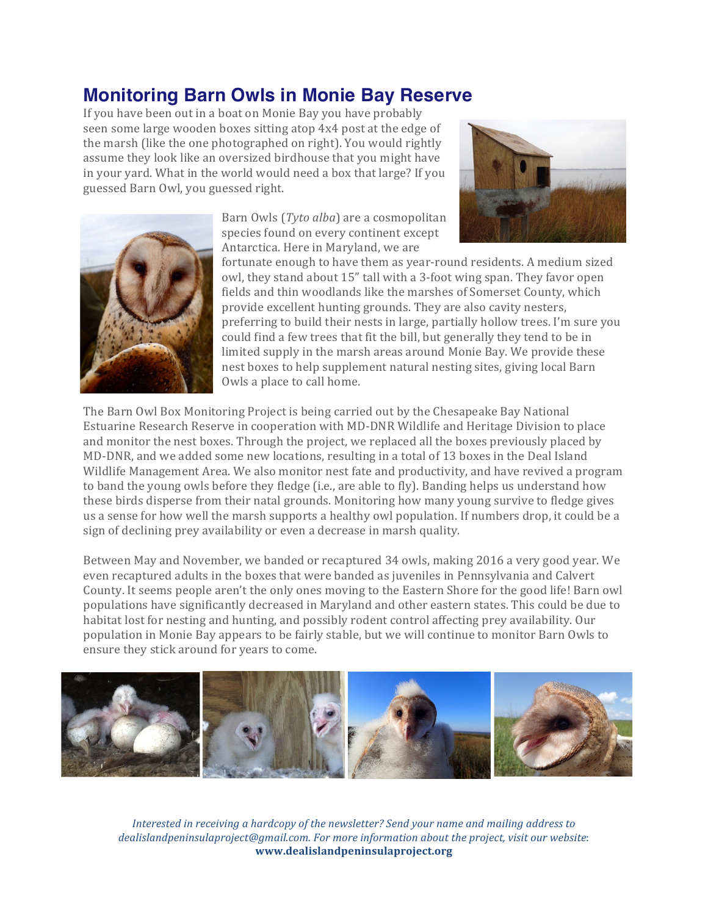### **Monitoring Barn Owls in Monie Bay Reserve**

If you have been out in a boat on Monie Bay you have probably seen some large wooden boxes sitting atop 4x4 post at the edge of the marsh (like the one photographed on right). You would rightly assume they look like an oversized birdhouse that you might have in your yard. What in the world would need a box that large? If you guessed Barn Owl, you guessed right.





Barn Owls (*Tyto alba*) are a cosmopolitan species found on every continent except Antarctica. Here in Maryland, we are

fortunate enough to have them as year-round residents. A medium sized owl, they stand about 15" tall with a 3-foot wing span. They favor open fields and thin woodlands like the marshes of Somerset County, which provide excellent hunting grounds. They are also cavity nesters, preferring to build their nests in large, partially hollow trees. I'm sure you could find a few trees that fit the bill, but generally they tend to be in limited supply in the marsh areas around Monie Bay. We provide these nest boxes to help supplement natural nesting sites, giving local Barn Owls a place to call home.

The Barn Owl Box Monitoring Project is being carried out by the Chesapeake Bay National Estuarine Research Reserve in cooperation with MD-DNR Wildlife and Heritage Division to place and monitor the nest boxes. Through the project, we replaced all the boxes previously placed by MD-DNR, and we added some new locations, resulting in a total of 13 boxes in the Deal Island Wildlife Management Area. We also monitor nest fate and productivity, and have revived a program to band the young owls before they fledge (i.e., are able to fly). Banding helps us understand how these birds disperse from their natal grounds. Monitoring how many young survive to fledge gives us a sense for how well the marsh supports a healthy owl population. If numbers drop, it could be a sign of declining prey availability or even a decrease in marsh quality.

Between May and November, we banded or recaptured 34 owls, making 2016 a very good year. We even recaptured adults in the boxes that were banded as juveniles in Pennsylvania and Calvert County. It seems people aren't the only ones moving to the Eastern Shore for the good life! Barn owl populations have significantly decreased in Maryland and other eastern states. This could be due to habitat lost for nesting and hunting, and possibly rodent control affecting prey availability. Our population in Monie Bay appears to be fairly stable, but we will continue to monitor Barn Owls to ensure they stick around for years to come.



*Interested in receiving a hardcopy of the newsletter?* Send your name and mailing address to dealislandpeninsulaproject@gmail.com. For more information about the project, visit our website: **www.dealislandpeninsulaproject.org**